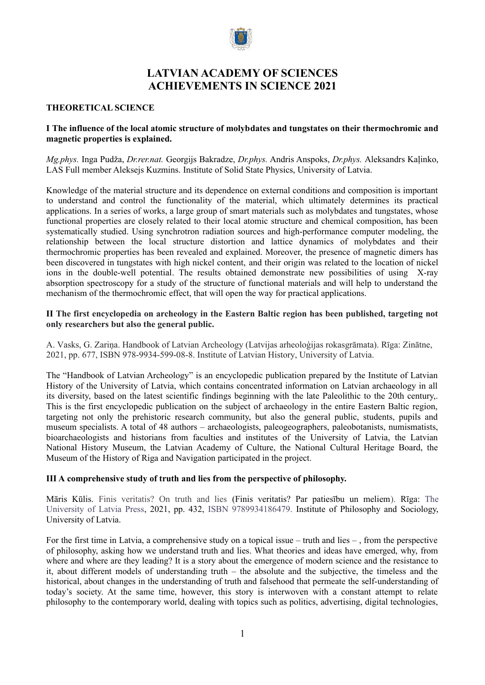

# **LATVIAN ACADEMY OF SCIENCES ACHIEVEMENTS IN SCIENCE 2021**

#### **THEORETICAL SCIENCE**

## **I The influence of the local atomic structure of molybdates and tungstates on their thermochromic and magnetic properties is explained.**

*Mg.phys.* Inga Pudža, *Dr.rer.nat.* Georgijs Bakradze, *Dr.phys.* Andris Anspoks, *Dr.phys.* Aleksandrs Kaļinko, LAS Full member Aleksejs Kuzmins. Institute of Solid State Physics, University of Latvia.

Knowledge of the material structure and its dependence on external conditions and composition is important to understand and control the functionality of the material, which ultimately determines its practical applications. In a series of works, a large group of smart materials such as molybdates and tungstates, whose functional properties are closely related to their local atomic structure and chemical composition, has been systematically studied. Using synchrotron radiation sources and high-performance computer modeling, the relationship between the local structure distortion and lattice dynamics of molybdates and their thermochromic properties has been revealed and explained. Moreover, the presence of magnetic dimers has been discovered in tungstates with high nickel content, and their origin was related to the location of nickel ions in the double-well potential. The results obtained demonstrate new possibilities of using X-ray absorption spectroscopy for a study of the structure of functional materials and will help to understand the mechanism of the thermochromic effect, that will open the way for practical applications.

### **II The first encyclopedia on archeology in the Eastern Baltic region has been published, targeting not only researchers but also the general public.**

A. Vasks, G. Zariņa. Handbook of Latvian Archeology (Latvijas arheoloģijas rokasgrāmata). Rīga: Zinātne, 2021, pp. 677, ISBN 978-9934-599-08-8. Institute of Latvian History, University of Latvia.

The "Handbook of Latvian Archeology" is an encyclopedic publication prepared by the Institute of Latvian History of the University of Latvia, which contains concentrated information on Latvian archaeology in all its diversity, based on the latest scientific findings beginning with the late Paleolithic to the 20th century,. This is the first encyclopedic publication on the subject of archaeology in the entire Eastern Baltic region, targeting not only the prehistoric research community, but also the general public, students, pupils and museum specialists. A total of 48 authors – archaeologists, paleogeographers, paleobotanists, numismatists, bioarchaeologists and historians from faculties and institutes of the University of Latvia, the Latvian National History Museum, the Latvian Academy of Culture, the National Cultural Heritage Board, the Museum of the History of Riga and Navigation participated in the project.

### **III A comprehensive study of truth and lies from the perspective of philosophy.**

Māris Kūlis. Finis veritatis? On truth and lies (Finis veritatis? Par patiesību un meliem). Rīga: The University of Latvia Press, 2021, pp. 432, ISBN 9789934186479. Institute of Philosophy and Sociology, University of Latvia.

For the first time in Latvia, a comprehensive study on a topical issue – truth and lies – , from the perspective of philosophy, asking how we understand truth and lies. What theories and ideas have emerged, why, from where and where are they leading? It is a story about the emergence of modern science and the resistance to it, about different models of understanding truth – the absolute and the subjective, the timeless and the historical, about changes in the understanding of truth and falsehood that permeate the self-understanding of today's society. At the same time, however, this story is interwoven with a constant attempt to relate philosophy to the contemporary world, dealing with topics such as politics, advertising, digital technologies,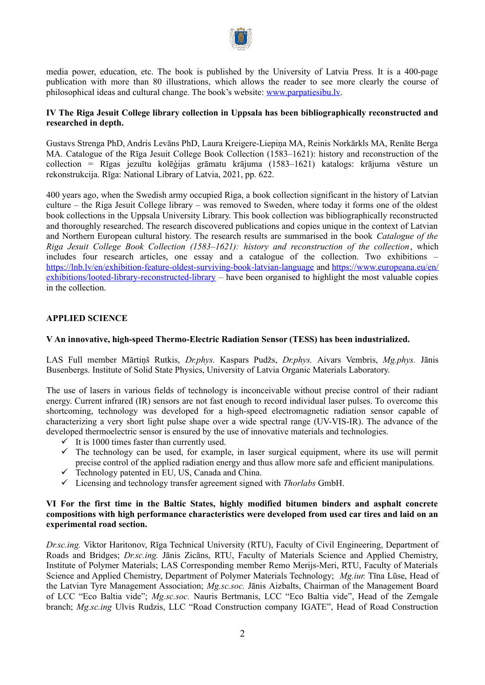

media power, education, etc. The book is published by the University of Latvia Press. It is a 400-page publication with more than 80 illustrations, which allows the reader to see more clearly the course of philosophical ideas and cultural change. The book's website: [www.parpatiesibu.lv](http://www.parpatiesibu.lv/).

## **IV The Riga Jesuit College library collection in Uppsala has been bibliographically reconstructed and researched in depth.**

Gustavs Strenga PhD, Andris Levāns PhD, Laura Kreigere-Liepiņa MA, Reinis Norkārkls MA, Renāte Berga MA. Catalogue of the Rīga Jesuit College Book Collection (1583–1621): history and reconstruction of the collection = Rīgas jezuītu kolēģijas grāmatu krājuma (1583–1621) katalogs: krājuma vēsture un rekonstrukcija. Rīga: National Library of Latvia, 2021, pp. 622.

400 years ago, when the Swedish army occupied Riga, a book collection significant in the history of Latvian culture – the Riga Jesuit College library – was removed to Sweden, where today it forms one of the oldest book collections in the Uppsala University Library. This book collection was bibliographically reconstructed and thoroughly researched. The research discovered publications and copies unique in the context of Latvian and Northern European cultural history. The research results are summarised in the book *Catalogue of the Riga Jesuit College Book Collection (1583–1621): history and reconstruction of the collection*, which includes four research articles, one essay and a catalogue of the collection. Two exhibitions – <https://lnb.lv/en/exhibition-feature-oldest-surviving-book-latvian-language>and [https://www.europeana.eu/en/](https://www.europeana.eu/en/exhibitions/looted-library-reconstructed-library) [exhibitions/looted-library-reconstructed-library](https://www.europeana.eu/en/exhibitions/looted-library-reconstructed-library) – have been organised to highlight the most valuable copies in the collection.

## **APPLIED SCIENCE**

## **V An innovative, high-speed Thermo-Electric Radiation Sensor (TESS) has been industrialized.**

LAS Full member Mārtiņš Rutkis, *Dr.phys.* Kaspars Pudžs, *Dr.phys.* Aivars Vembris, *Mg.phys.* Jānis Busenbergs. Institute of Solid State Physics, University of Latvia Organic Materials Laboratory.

The use of lasers in various fields of technology is inconceivable without precise control of their radiant energy. Current infrared (IR) sensors are not fast enough to record individual laser pulses. To overcome this shortcoming, technology was developed for a high-speed electromagnetic radiation sensor capable of characterizing a very short light pulse shape over a wide spectral range (UV-VIS-IR). The advance of the developed thermoelectric sensor is ensured by the use of innovative materials and technologies.

- $\checkmark$  It is 1000 times faster than currently used.
- $\checkmark$  The technology can be used, for example, in laser surgical equipment, where its use will permit precise control of the applied radiation energy and thus allow more safe and efficient manipulations.
- $\checkmark$  Technology patented in EU, US, Canada and China.
- Licensing and technology transfer agreement signed with *Thorlabs* GmbH.

### **VI For the first time in the Baltic States, highly modified bitumen binders and asphalt concrete compositions with high performance characteristics were developed from used car tires and laid on an experimental road section.**

*Dr.sc.ing.* Viktor Haritonov, Rīga Technical University (RTU), Faculty of Civil Engineering, Department of Roads and Bridges; *Dr.sc.ing.* Jānis Zicāns, RTU, Faculty of Materials Science and Applied Chemistry, Institute of Polymer Materials; LAS Corresponding member Remo Merijs-Meri, RTU, Faculty of Materials Science and Applied Chemistry, Department of Polymer Materials Technology; *Mg.iur.* Tīna Lūse, Head of the Latvian Tyre Management Association; *Mg.sc.soc.* Jānis Aizbalts, Chairman of the Management Board of LCC "Eco Baltia vide"; *Mg.sc.soc.* Nauris Bertmanis, LCC "Eco Baltia vide", Head of the Zemgale branch; *Mg.sc.ing* Ulvis Rudzis, LLC "Road Construction company IGATE", Head of Road Construction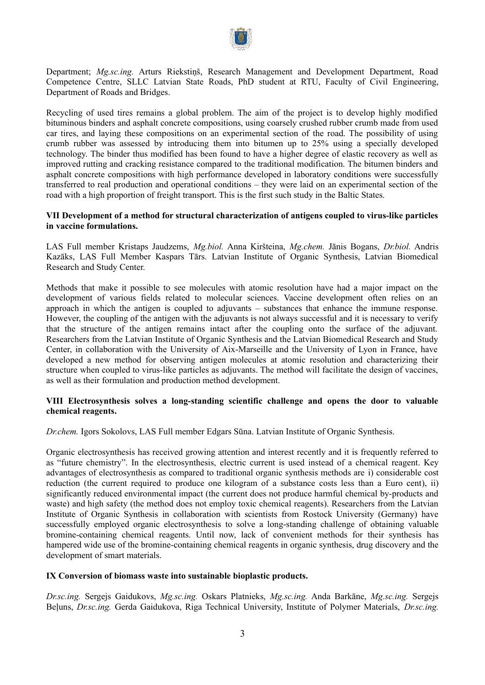

Department; *Mg.sc.ing.* Arturs Riekstiņš, Research Management and Development Department, Road Competence Centre, SLLC Latvian State Roads, PhD student at RTU, Faculty of Civil Engineering, Department of Roads and Bridges.

Recycling of used tires remains a global problem. The aim of the project is to develop highly modified bituminous binders and asphalt concrete compositions, using coarsely crushed rubber crumb made from used car tires, and laying these compositions on an experimental section of the road. The possibility of using crumb rubber was assessed by introducing them into bitumen up to 25% using a specially developed technology. The binder thus modified has been found to have a higher degree of elastic recovery as well as improved rutting and cracking resistance compared to the traditional modification. The bitumen binders and asphalt concrete compositions with high performance developed in laboratory conditions were successfully transferred to real production and operational conditions – they were laid on an experimental section of the road with a high proportion of freight transport. This is the first such study in the Baltic States.

## **VII Development of a method for structural characterization of antigens coupled to virus-like particles in vaccine formulations.**

LAS Full member Kristaps Jaudzems, *Mg.biol.* Anna Kiršteina, *Mg.chem.* Jānis Bogans, *Dr.biol.* Andris Kazāks, LAS Full Member Kaspars Tārs. Latvian Institute of Organic Synthesis, Latvian Biomedical Research and Study Center.

Methods that make it possible to see molecules with atomic resolution have had a major impact on the development of various fields related to molecular sciences. Vaccine development often relies on an approach in which the antigen is coupled to adjuvants – substances that enhance the immune response. However, the coupling of the antigen with the adjuvants is not always successful and it is necessary to verify that the structure of the antigen remains intact after the coupling onto the surface of the adjuvant. Researchers from the Latvian Institute of Organic Synthesis and the Latvian Biomedical Research and Study Center, in collaboration with the University of Aix-Marseille and the University of Lyon in France, have developed a new method for observing antigen molecules at atomic resolution and characterizing their structure when coupled to virus-like particles as adjuvants. The method will facilitate the design of vaccines, as well as their formulation and production method development.

## **VIII Electrosynthesis solves a long-standing scientific challenge and opens the door to valuable chemical reagents.**

*Dr.chem.* Igors Sokolovs, LAS Full member Edgars Sūna. Latvian Institute of Organic Synthesis.

Organic electrosynthesis has received growing attention and interest recently and it is frequently referred to as "future chemistry". In the electrosynthesis, electric current is used instead of a chemical reagent. Key advantages of electrosynthesis as compared to traditional organic synthesis methods are i) considerable cost reduction (the current required to produce one kilogram of a substance costs less than a Euro cent), ii) significantly reduced environmental impact (the current does not produce harmful chemical by-products and waste) and high safety (the method does not employ toxic chemical reagents). Researchers from the Latvian Institute of Organic Synthesis in collaboration with scientists from Rostock University (Germany) have successfully employed organic electrosynthesis to solve a long-standing challenge of obtaining valuable bromine-containing chemical reagents. Until now, lack of convenient methods for their synthesis has hampered wide use of the bromine-containing chemical reagents in organic synthesis, drug discovery and the development of smart materials.

### **IX Conversion of biomass waste into sustainable bioplastic products.**

*Dr.sc.ing.* Sergejs Gaidukovs, *Mg.sc.ing.* Oskars Platnieks, *Mg.sc.ing.* Anda Barkāne, *Mg.sc.ing.* Sergejs Beļuns, *Dr.sc.ing.* Gerda Gaidukova, Riga Technical University, Institute of Polymer Materials, *Dr.sc.ing.*